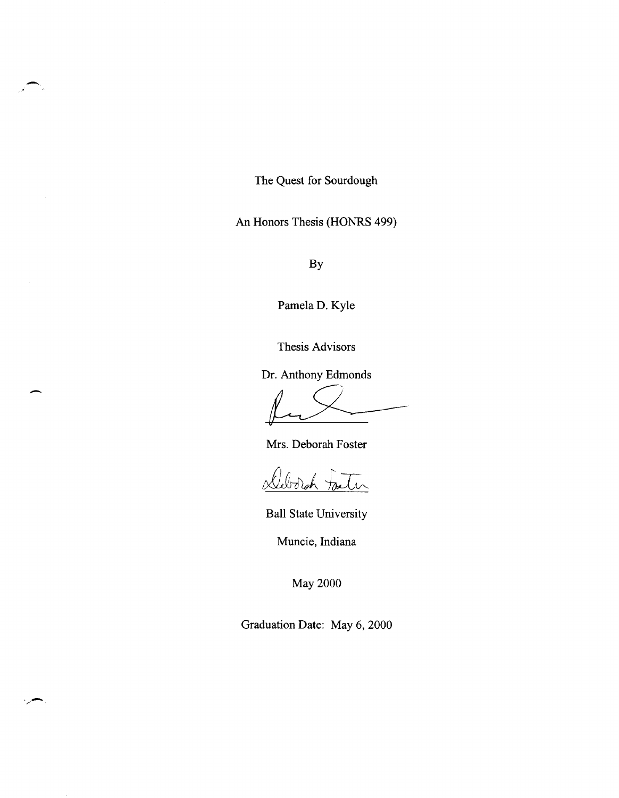The Quest for Sourdough

-

-

./-

An Honors Thesis (HONRS 499)

By

Pamela D. Kyle

Thesis Advisors

Dr. Anthony Edmonds

Thesis Advisors<br>
Pr. Anthony Edmonds<br>
Mrs. Deborah Foster

Mrs. Deborah Foster

<u>Deborgh Factor</u>

Ball State University

Muncie, Indiana

May 2000

Graduation Date: May 6, 2000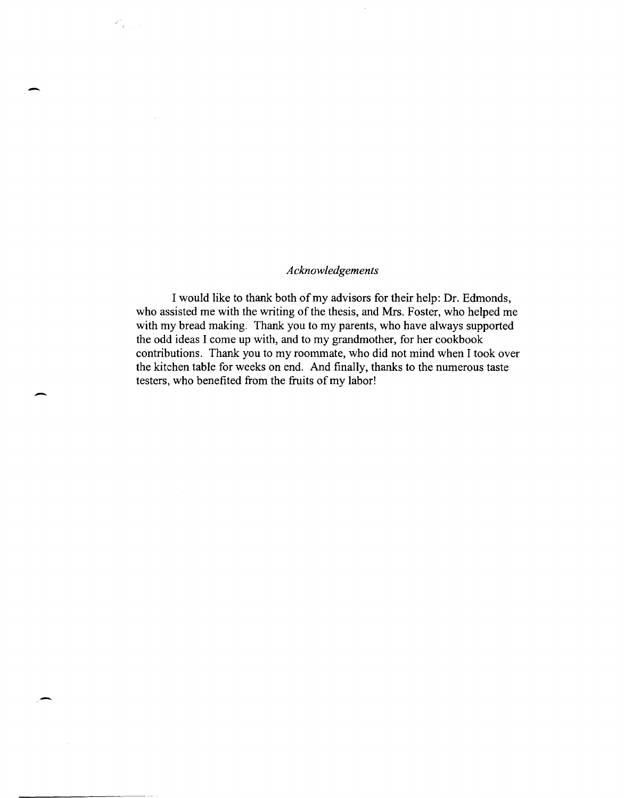## *Acknowledgements*

-

 $Z_{\rm{max}}^{\rm{max}}$ 

 $\overline{\phantom{0}}$ 

-

I would like to thank both of my advisors for their help: Dr. Edmonds, who assisted me with the writing of the thesis, and Mrs. Foster, who helped me with my bread making. Thank you to my parents, who have always supported the odd ideas I come up with, and to my grandmother, for her cookbook contributions. Thank you to my roommate, who did not mind when I took over the kitchen table for weeks on end. And finally, thanks to the numerous taste testers, who benefited from the fruits of my labor!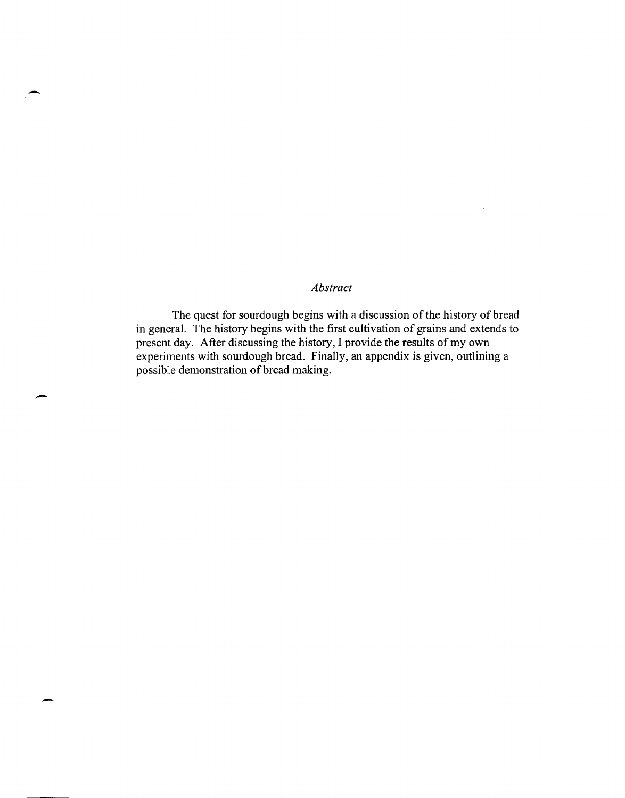# *Abstract*

-

-

The quest for sourdough begins with a discussion of the history of bread in general. The history begins with the first cultivation of grains and extends to present day. After discussing the history, I provide the results of my own experiments with sourdough bread. Finally, an appendix is given, outlining a possible demonstration of bread making.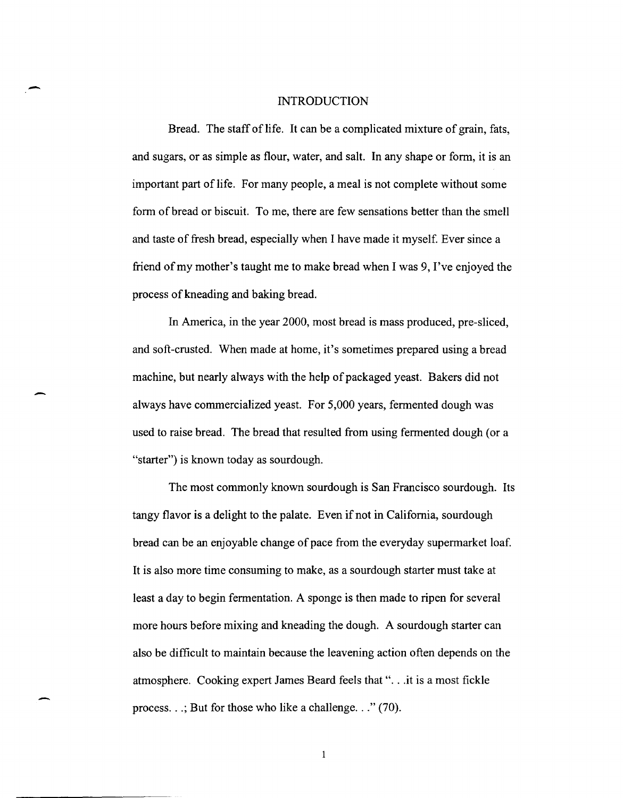#### INTRODUCTION

-

-

Bread. The staff of life. It can be a complicated mixture of grain, fats, and sugars, or as simple as flour, water, and salt. In any shape or form, it is an important part of life. For many people, a meal is not complete without some form of bread or biscuit. To me, there are few sensations better than the smell and taste of fresh bread, especially when I have made it myself. Ever since a friend of my mother's taught me to make bread when I was 9, I've enjoyed the process of kneading and baking bread.

In America, in the year 2000, most bread is mass produced, pre-sliced, and soft-crusted. When made at home, it's sometimes prepared using a bread machine, but nearly always with the help of packaged yeast. Bakers did not always have commercialized yeast. For 5,000 years, fermented dough was used to raise bread. The bread that resulted from using fermented dough (or a "starter") is known today as sourdough.

The most commonly known sourdough is San Francisco sourdough. Its tangy flavor is a delight to the palate. Even if not in California, sourdough bread can be an enjoyable change of pace from the everyday supermarket loaf. It is also more time consuming to make, as a sourdough starter must take at least a day to begin fermentation. A sponge is then made to ripen for several more hours before mixing and kneading the dough. A sourdough starter can also be difficult to maintain because the leavening action often depends on the atmosphere. Cooking expert James Beard feels that "... it is a most fickle process.  $\ldots$ ; But for those who like a challenge.  $\ldots$  (70).

 $\mathbf{1}$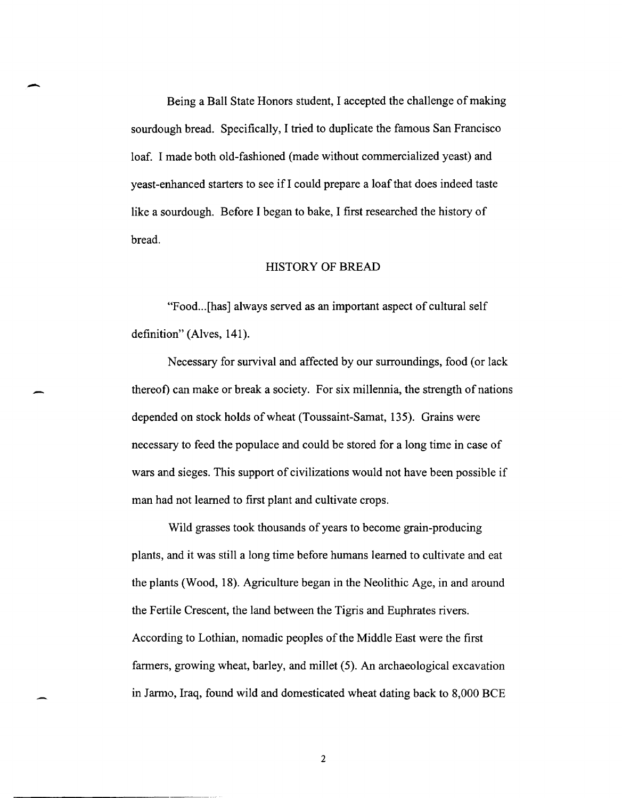Being a Ball State Honors student, I accepted the challenge of making sourdough bread. Specifically, I tried to duplicate the famous San Francisco loaf. I made both old-fashioned (made without commercialized yeast) and yeast-enhanced starters to see if I could prepare a loaf that does indeed taste like a sourdough. Before I began to bake, I first researched the history of bread.

#### HISTORY OF BREAD

"Food... [has] always served as an important aspect of cultural self definition" (Alves, 141).

Necessary for survival and affected by our surroundings, food (or lack thereof) can make or break a society. For six millennia, the strength of nations depended on stock holds of wheat (Toussaint-Sarnat, 135). Grains were necessary to feed the populace and could be stored for a long time in case of wars and sieges. This support of civilizations would not have been possible if man had not learned to first plant and cultivate crops.

Wild grasses took thousands of years to become grain-producing plants, and it was still a long time before humans learned to cultivate and eat the plants (Wood, 18). Agriculture began in the Neolithic Age, in and around the Fertile Crescent, the land between the Tigris and Euphrates rivers. According to Lothian, nomadic peoples of the Middle East were the first farmers, growing wheat, barley, and millet (5). An archaeological excavation in Jarmo, Iraq, found wild and domesticated wheat dating back to 8,000 BCE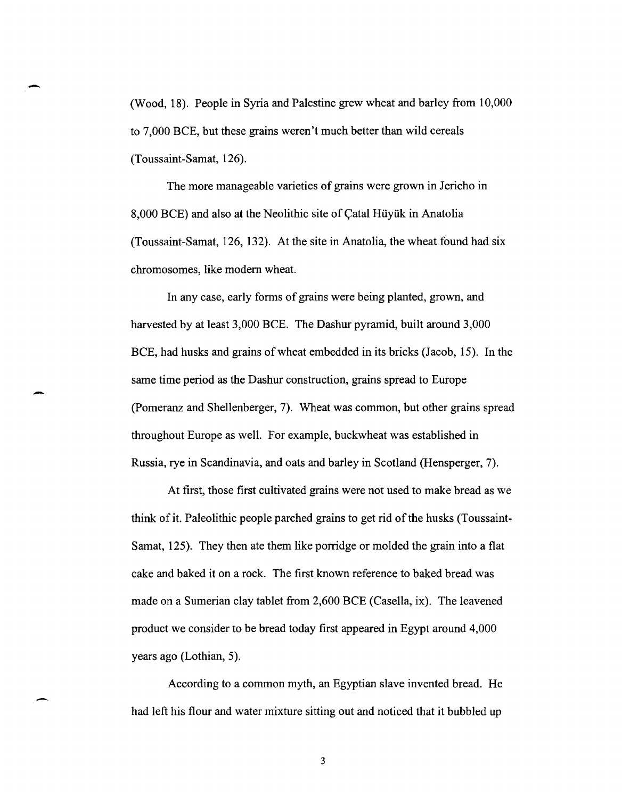(Wood, 18). People in Syria and Palestine grew wheat and barley from 10,000 to 7,000 BCE, but these grains weren't much better than wild cereals (Toussaint-Samat, 126).

-

-

-

The more manageable varieties of grains were grown in Jericho in 8,000 BCE) and also at the Neolithic site of Catal Hüyük in Anatolia (Toussaint-Samat, 126, 132). At the site in Anatolia, the wheat found had six chromosomes, like modem wheat.

In any case, early forms of grains were being planted, grown, and harvested by at least 3,000 BCE. The Dashur pyramid, built around 3,000 BCE, had husks and grains of wheat embedded in its bricks (Jacob, 15). In the same time period as the Dashur construction, grains spread to Europe (Pomeranz and Shellenberger, 7). Wheat was common, but other grains spread throughout Europe as well. For example, buckwheat was established in Russia, rye in Scandinavia, and oats and barley in Scotland (Hensperger, 7).

At first, those first cultivated grains were not used to make bread as we think of it. Paleolithic people parched grains to get rid of the husks (Toussaint-Samat, 125). They then ate them like porridge or molded the grain into a flat cake and baked it on a rock. The first known reference to baked bread was made on a Sumerian clay tablet from 2,600 BCE (Casella, ix). The leavened product we consider to be bread today first appeared in Egypt around 4,000 years ago (Lothian, 5).

According to a common myth, an Egyptian slave invented bread. He had left his flour and water mixture sitting out and noticed that it bubbled up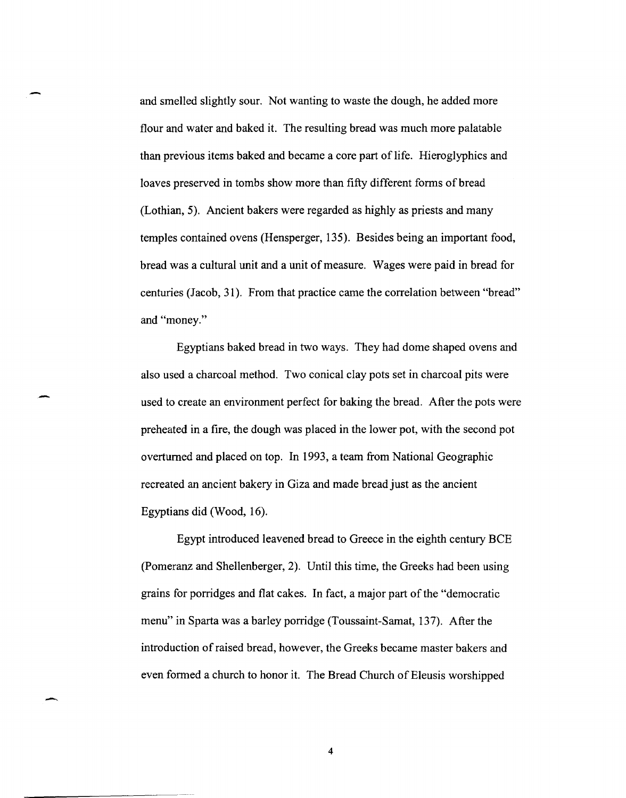and smelled slightly sour. Not wanting to waste the dough, he added more flour and water and baked it. The resulting bread was much more palatable than previous items baked and became a core part of life. Hieroglyphics and loaves preserved in tombs show more than fifty different forms of bread (Lothian, 5). Ancient bakers were regarded as highly as priests and many temples contained ovens (Hensperger, 135). Besides being an important food, bread was a cultural unit and a unit of measure. Wages were paid in bread for centuries (Jacob, 31). From that practice came the correlation between "bread" and "money."

Egyptians baked bread in two ways. They had dome shaped ovens and also used a charcoal method. Two conical clay pots set in charcoal pits were used to create an environment perfect for baking the bread. After the pots were preheated in a fire, the dough was placed in the lower pot, with the second pot overturned and placed on top. In 1993, a team from National Geographic recreated an ancient bakery in Giza and made bread just as the ancient Egyptians did (Wood, 16).

-

-

Egypt introduced leavened bread to Greece in the eighth century BCE (Pomeranz and Shellenberger, 2). Until this time, the Greeks had been using grains for porridges and flat cakes. In fact, a major part of the "democratic menu" in Sparta was a barley porridge (Toussaint-Samat, 137). After the introduction of raised bread, however, the Greeks became master bakers and even formed a church to honor it. The Bread Church of Eleusis worshipped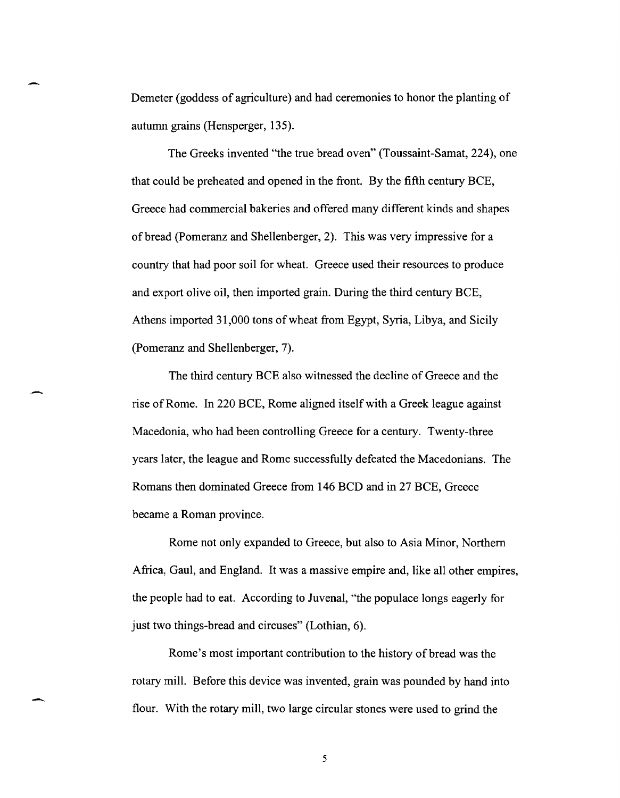Demeter (goddess of agriculture) and had ceremonies to honor the planting of autumn grains (Hensperger, 135).

-

--

-

The Greeks invented "the true bread oven" (Toussaint-Samat, 224), one that could be preheated and opened in the front. By the fifth century BCE, Greece had commercial bakeries and offered many different kinds and shapes of bread (Pomeranz and Shellenberger, 2). This was very impressive for a country that had poor soil for wheat. Greece used their resources to produce and export olive oil, then imported grain. During the third century BCE, Athens imported 31,000 tons of wheat from Egypt, Syria, Libya, and Sicily (Pomeranz and Shellenberger, 7).

The third century BCE also witnessed the decline of Greece and the rise of Rome. In 220 BCE, Rome aligned itself with a Greek league against Macedonia, who had been controlling Greece for a century. Twenty-three years later, the league and Rome successfully defeated the Macedonians. The Romans then dominated Greece from 146 BCD and in 27 BCE, Greece became a Roman province.

Rome not only expanded to Greece, but also to Asia Minor, Northern Africa, Gaul, and England. It was a massive empire and, like all other empires, the people had to eat. According to Juvenal, "the populace longs eagerly for just two things-bread and circuses" (Lothian, 6).

Rome's most important contribution to the history of bread was the rotary mill. Before this device was invented, grain was pounded by hand into flour. With the rotary mill, two large circular stones were used to grind the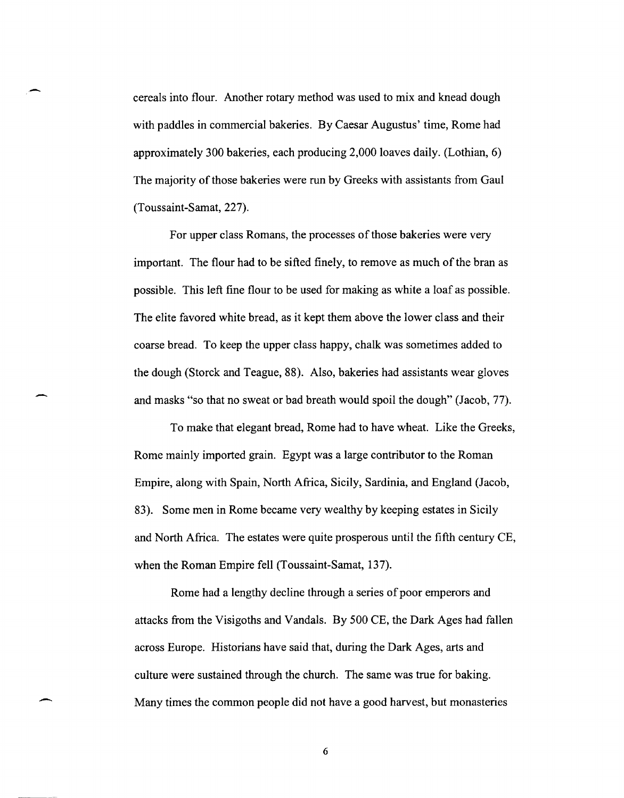cereals into flour. Another rotary method was used to mix and knead dough with paddles in commercial bakeries. By Caesar Augustus' time, Rome had approximately 300 bakeries, each producing 2,000 loaves daily. (Lothian, 6) The majority of those bakeries were run by Greeks with assistants from Gaul (Toussaint-Sarnat, 227).

For upper class Romans, the processes of those bakeries were very important. The flour had to be sifted finely, to remove as much of the bran as possible. This left fine flour to be used for making as white a loaf as possible. The elite favored white bread, as it kept them above the lower class and their coarse bread. To keep the upper class happy, chalk was sometimes added to the dough (Storck and Teague, 88). Also, bakeries had assistants wear gloves and masks "so that no sweat or bad breath would spoil the dough" (Jacob, 77).

-

-

To make that elegant bread, Rome had to have wheat. Like the Greeks, Rome mainly imported grain. Egypt was a large contributor to the Roman Empire, along with Spain, North Africa, Sicily, Sardinia, and England (Jacob, 83). Some men in Rome becarne very wealthy by keeping estates in Sicily and North Africa. The estates were quite prosperous until the fifth century CE, when the Roman Empire fell (Toussaint-Samat, 137).

Rome had a lengthy decline through a series of poor emperors and attacks from the Visigoths and Vandals. By 500 CE, the Dark Ages had fallen across Europe. Historians have said that, during the Dark Ages, arts and culture were sustained through the church. The same was true for baking. Many times the common people did not have a good harvest, but monasteries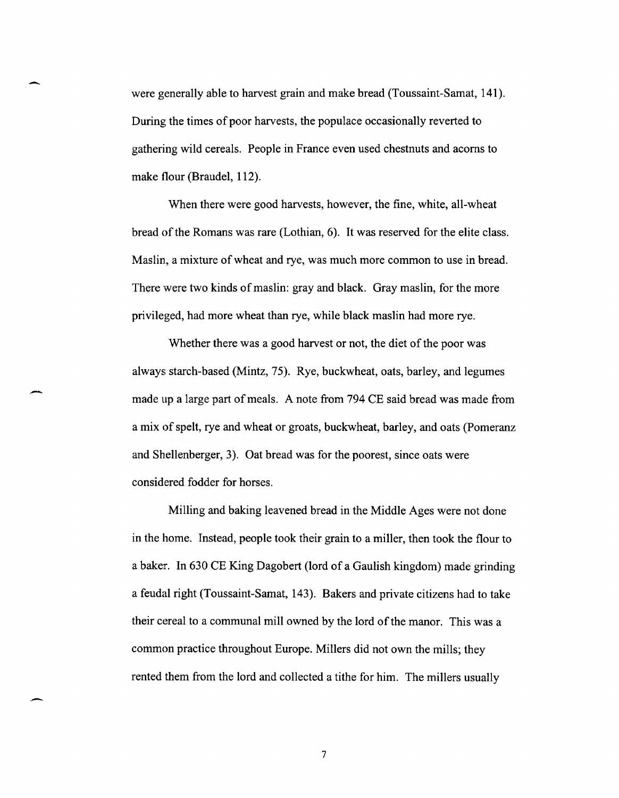were generally able to harvest grain and make bread (Toussaint-Samat, 141). During the times of poor harvests, the populace occasionally reverted to gathering wild cereals. People in France even used chestnuts and acorns to make flour (Braudel, 112).

-

-

-

When there were good harvests, however, the fine, white, all-wheat bread of the Romans was rare (Lothian, 6). It was reserved for the elite class. Maslin, a mixture of wheat and rye, was much more common to use in bread. There were two kinds of maslin: gray and black. Gray maslin, for the more privileged, had more wheat than rye, while black maslin had more rye.

Whether there was a good harvest or not, the diet of the poor was always starch-based (Mintz, 75). Rye, buckwheat, oats, barley, and legumes made up a large part of meals. A note from 794 CE said bread was made from a mix of spelt, rye and wheat or groats, buckwheat, barley, and oats (pomeranz and Shellenberger, 3). Oat bread was for the poorest, since oats were considered fodder for horses.

Milling and baking leavened bread in the Middle Ages were not done in the home. Instead, people took their grain to a miller, then took the flour to a baker. In 630 CE King Dagobert (lord of a Gaulish kingdom) made grinding a feudal right (Toussaint-Sarnat, 143). Bakers and private citizens had to take their cereal to a communal mill owned by the lord of the manor. This was a common practice throughout Europe. Millers did not own the mills; they rented them from the lord and collected a tithe for him. The millers usually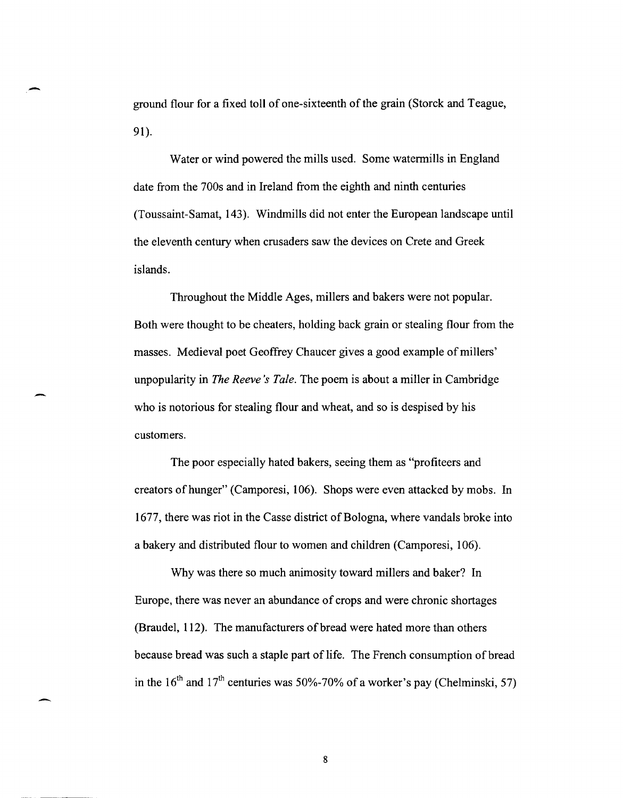ground flour for a fixed toll of one-sixteenth ofthe grain (Storck and Teague, 91).

-

-

Water or wind powered the mills used. Some watermills in England date from the 700s and in Ireland from the eighth and ninth centuries (Toussaint-Sarnat, 143). Windmills did not enter the European landscape until the eleventh century when crusaders saw the devices on Crete and Greek islands.

Throughout the Middle Ages, millers and bakers were not popular. Both were thought to be cheaters, holding back grain or stealing flour from the masses. Medieval poet Geoffrey Chaucer gives a good example of millers' unpopularity in *The Reeve's Tale.* The poem is about a miller in Cambridge who is notorious for stealing flour and wheat, and so is despised by his customers.

The poor especially hated bakers, seeing them as "profiteers and creators of hunger" (Camporesi, 106). Shops were even attacked by mobs. In 1677, there was riot in the Casse district of Bologna, where vandals broke into a bakery and distributed flour to women and children (Camporesi, 106).

Why was there so much animosity toward millers and baker? In Europe, there was never an abundance of crops and were chronic shortages (Braudel, 112). The manufacturers of bread were hated more than others because bread was such a staple part of life. The French consumption of bread in the  $16<sup>th</sup>$  and  $17<sup>th</sup>$  centuries was 50%-70% of a worker's pay (Chelminski, 57)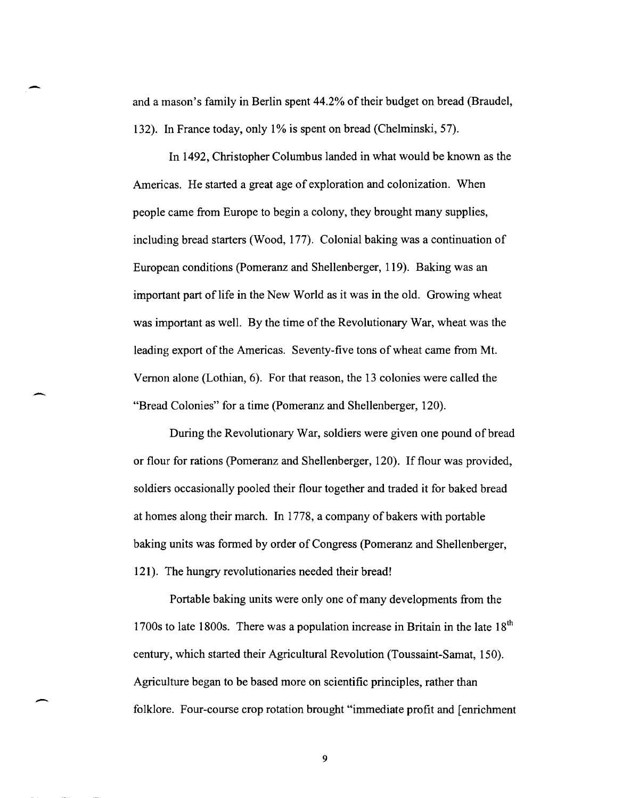and a mason's farnily in Berlin spent 44.2% of their budget on bread (Braudel, 132). In France today, only 1% is spent on bread (Chelminski, 57).

 $\overline{\phantom{0}}$ 

--

-

In 1492, Christopher Columbus landed in what would be known as the Americas. He started a great age of exploration and colonization. When people carne from Europe to begin a colony, they brought many supplies, including bread starters (Wood, 177). Colonial baking was a continuation of European conditions (Pomeranz and Shellenberger, 119). Baking was an important part of life in the New World as it was in the old. Growing wheat was important as well. By the time of the Revolutionary War, wheat was the leading export of the Americas. Seventy-five tons of wheat came from Mt. Vernon alone (Lothian, 6). For that reason, the 13 colonies were called the "Bread Colonies" for a time (Pomeranz and Shellenberger, 120).

During the Revolutionary War, soldiers were given one pound of bread or flour for rations (Pomeranz and Shellenberger, 120). If flour was provided, soldiers occasionally pooled their flour together and traded it for baked bread at homes along their march. In 1778, a company of bakers with portable baking units was formed by order of Congress (Pomeranz and Shellenberger, 121). The hungry revolutionaries needed their bread!

Portable baking units were only one of many developments from the 1700s to late 1800s. There was a population increase in Britain in the late  $18<sup>th</sup>$ century, which started their Agricultural Revolution (Toussaint-Samat, 150). Agriculture began to be based more on scientific principles, rather than folklore. Four-course crop rotation brought "immediate profit and [enrichment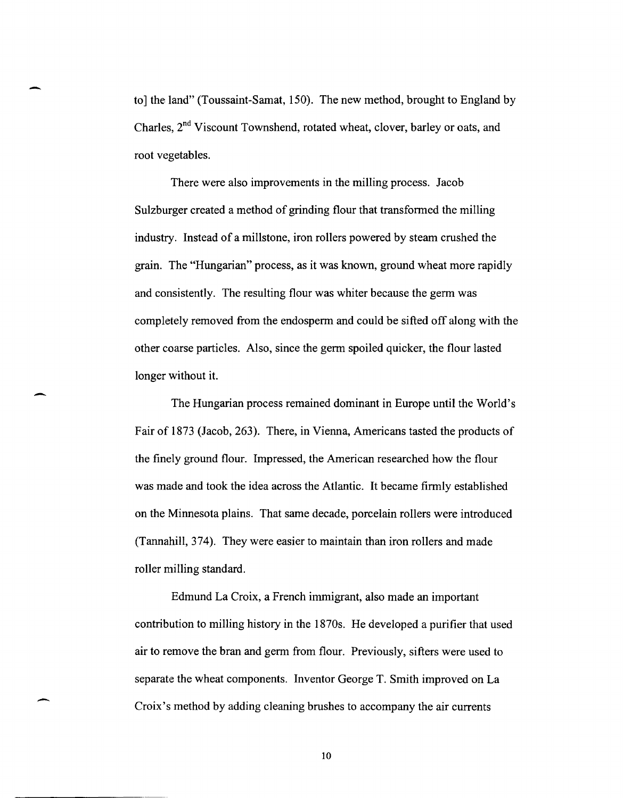to] the land" (Toussaint-Sarnat, 150). The new method, brought to England by Charles, 2<sup>nd</sup> Viscount Townshend, rotated wheat, clover, barley or oats, and root vegetables.

-

 $\overline{\phantom{0}}$ 

-

There were also improvements in the milling process. Jacob Sulzburger created a method of grinding flour that transformed the milling industry. Instead of a millstone, iron rollers powered by steam crushed the grain. The "Hungarian" process, as it was known, ground wheat more rapidly and consistently. The resulting flour was whiter because the germ was completely removed from the endosperm and could be sifted off along with the other coarse particles. Also, since the germ spoiled quicker, the flour lasted longer without it.

The Hungarian process remained dominant in Europe until the World's Fair of 1873 (Jacob, 263). There, in Vienna, Americans tasted the products of the finely ground flour. Impressed, the American researched how the flour was made and took the idea across the Atlantic. It became firmly established on the Minnesota plains. That same decade, porcelain rollers were introduced (Tannahill, 374). They were easier to maintain than iron rollers and made roller milling standard.

Edmund La Croix, a French immigrant, also made an important contribution to milling history in the 1870s. He developed a purifier that used air to remove the bran and germ from flour. Previously, sifters were used to separate the wheat components. Inventor George T. Smith improved on La Croix's method by adding cleaning brushes to accompany the air currents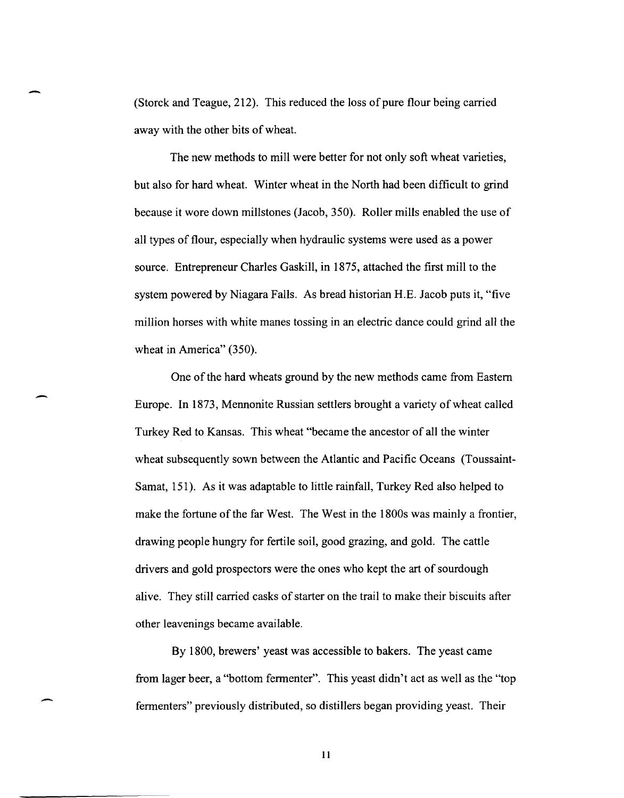(Storck and Teague, 212). This reduced the loss of pure flour being carried away with the other bits of wheat.

-

 $\overline{\phantom{0}}$ 

-

The new methods to mill were better for not only soft wheat varieties, but also for hard wheat. Winter wheat in the North had been difficult to grind because it wore down millstones (Jacob, 350). Roller mills enabled the use of all types of flour, especially when hydraulic systems were used as a power source. Entrepreneur Charles Gaskill, in 1875, attached the first mill to the system powered by Niagara Falls. As bread historian H.E. Jacob puts it, "five million horses with white manes tossing in an electric dance could grind all the wheat in America" (350).

One of the hard wheats ground by the new methods came from Eastern Europe. In 1873, Mennonite Russian settlers brought a variety of wheat called Turkey Red to Kansas. This wheat "became the ancestor of all the winter wheat subsequently sown between the Atlantic and Pacific Oceans (Toussaint-Samat, 151). As it was adaptable to little rainfall, Turkey Red also helped to make the fortune of the far West. The West in the 1800s was mainly a frontier, drawing people hungry for fertile soil, good grazing, and gold. The cattle drivers and gold prospectors were the ones who kept the art of sourdough alive. They still carried casks of starter on the trail to make their biscuits after other leavenings became available.

By 1800, brewers' yeast was accessible to bakers. The yeast came from lager beer, a "bottom fermenter". This yeast didn't act as well as the "top fermenters" previously distributed, so distillers began providing yeast. Their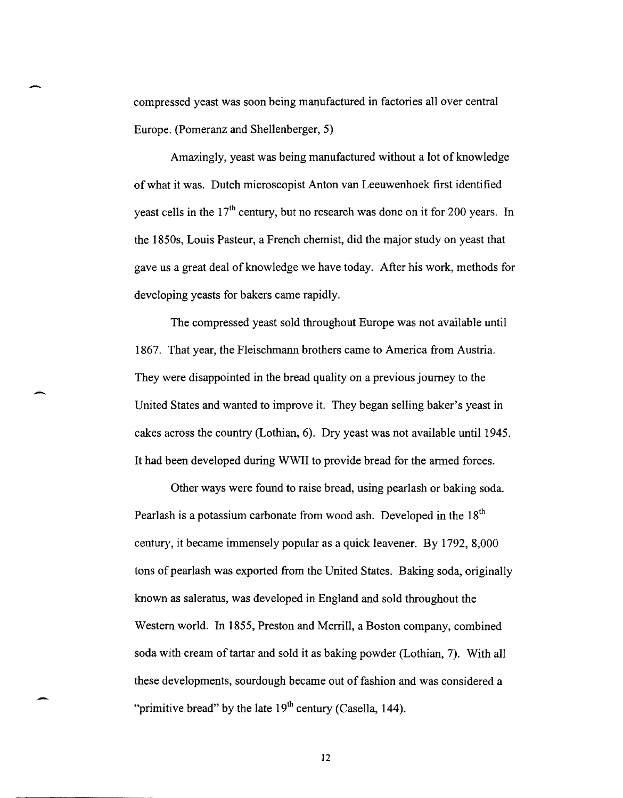compressed yeast was soon being manufactured in factories all over central Europe. (Pomeranz and Shellenberger, 5)

-

.-

 $\overline{\phantom{0}}$ 

Amazingly, yeast was being manufactured without a lot of knowledge of what it was. Dutch microscopist Anton van Leeuwenhoek first identified yeast cells in the  $17<sup>th</sup>$  century, but no research was done on it for 200 years. In the 1850s, Louis Pasteur, a French chemist, did the major study on yeast that gave us a great deal of knowledge we have today. After his work, methods for developing yeasts for bakers came rapidly.

The compressed yeast sold throughout Europe was not available until 1867. That year, the Fleischmann brothers came to America from Austria. They were disappointed in the bread quality on a previous journey to the United States and wanted to improve it. They began selling baker's yeast in cakes across the country (Lothian, 6). Dry yeast was not available until 1945. It had been developed during WWII to provide bread for the armed forces.

Other ways were found to raise bread, using pearlash or baking soda. Pearlash is a potassium carbonate from wood ash. Developed in the 18<sup>th</sup> century, it became immensely popular as a quick leavener. By 1792, 8,000 tons of pearlash was exported from the United States. Baking soda, originally known as saleratus, was developed in England and sold throughout the Western world. In 1855, Preston and Merrill, a Boston company, combined soda with cream of tartar and sold it as baking powder (Lothian, 7). With all these developments, sourdough became out of fashion and was considered a "primitive bread" by the late  $19<sup>th</sup>$  century (Casella, 144).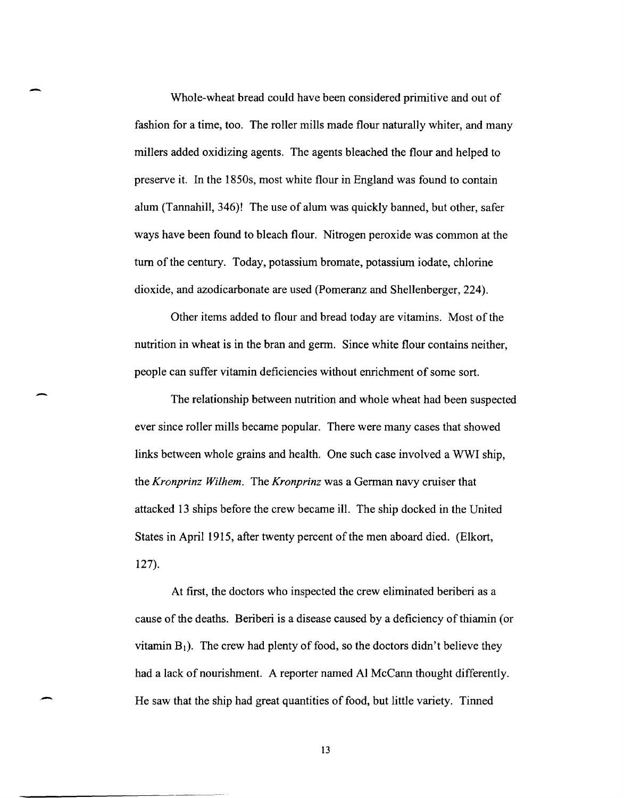Whole-wheat bread could have been considered primitive and out of fashion for a time, too. The roller mills made flour naturally whiter, and many millers added oxidizing agents. The agents bleached the flour and helped to preserve it. In the 1850s, most white flour in England was found to contain alum (Tannahill, 346)! The use of alum was quickly banned, but other, safer ways have been found to bleach flour. Nitrogen peroxide was common at the turn of the century. Today, potassium bromate, potassium iodate, chlorine dioxide, and azodicarbonate are used (Pomeranz and Shellenberger, 224).

-

-

,-

Other items added to flour and bread today are vitamins. Most of the nutrition in wheat is in the bran and germ. Since white flour contains neither, people can suffer vitamin deficiencies without enrichment of some sort.

The relationship between nutrition and whole wheat had been suspected ever since roller mills became popular. There were many cases that showed links between whole grains and health. One such case involved a WWI ship, the *Kronprinz Wi/hem.* The *Kronprinz* was a German navy cruiser that attacked 13 ships before the crew became ill. The ship docked in the United States in April 1915, after twenty percent of the men aboard died. (Elkort, 127).

At first, the doctors who inspected the crew eliminated beriberi as a cause of the deaths. Beriberi is a disease caused by a deficiency of thiamin (or vitamin  $B_1$ ). The crew had plenty of food, so the doctors didn't believe they had a lack of nourishment. A reporter named Al McCann thought differently. He saw that the ship had great quantities of food, but little variety. Tinned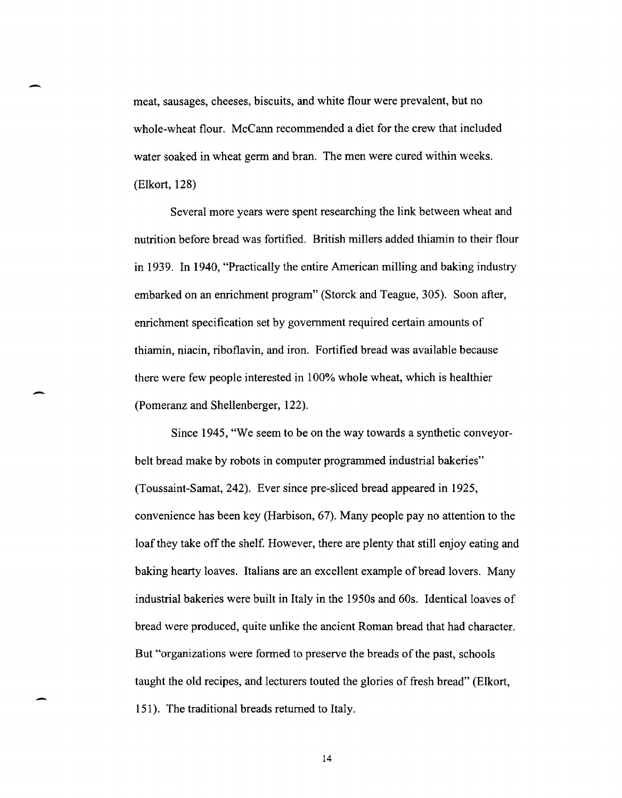meat, sausages, cheeses, biscuits, and white flour were prevalent, but no whole-wheat flour. McCann recommended a diet for the crew that included water soaked in wheat germ and bran. The men were cured within weeks. (Elkort, 128)

-

-

-

Several more years were spent researching the link between wheat and nutrition before bread was fortified. British millers added thiamin to their flour in 1939. In 1940, "Practically the entire American milling and baking industry embarked on an enrichment program" (Storck and Teague, 305). Soon after, enrichment specification set by government required certain amounts of thiamin, niacin, riboflavin, and iron. Fortified bread was available because there were few people interested in 100% whole wheat, which is healthier (Pomeranz and Shellenberger, 122).

Since 1945, "We seem to be on the way towards a synthetic conveyorbelt bread make by robots in computer programmed industrial bakeries" (Toussaint-Samat,242). Ever since pre-sliced bread appeared in 1925, convenience has been key (Harbison, 67). Many people pay no attention to the loaf they take off the shelf. However, there are plenty that still enjoy eating and baking hearty loaves. Italians are an excellent example of bread lovers. Many industrial bakeries were built in Italy in the 1950s and 60s. Identical loaves of bread were produced, quite unlike the ancient Roman bread that had character. But "organizations were formed to preserve the breads of the past, schools taught the old recipes, and lecturers touted the glories of fresh bread" (Elkort, 151). The traditional breads returned to Italy.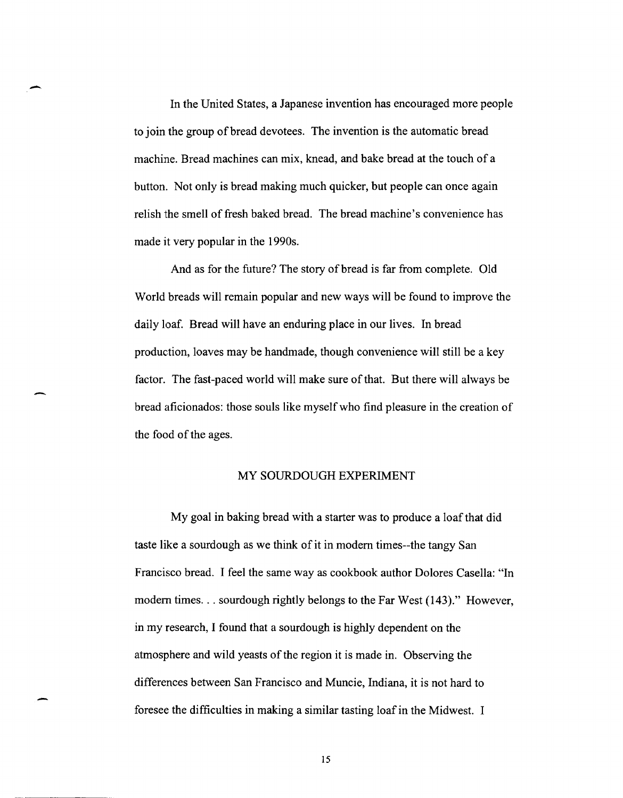- In the United States, a Japanese invention has encouraged more people to join the group of bread devotees. The invention is the automatic bread machine. Bread machines can mix, knead, and bake bread at the touch of a button. Not only is bread making much quicker, but people can once again relish the smell of fresh baked bread. The bread machine's convenience has made it very popular in the 1990s.

And as for the future? The story of bread is far from complete. Old World breads will remain popular and new ways will be found to improve the daily loaf. Bread will have an enduring place in our lives. In bread production, loaves may be handmade, though convenience will still be a key factor. The fast-paced world will make sure of that. But there will always be bread aficionados: those souls like myself who find pleasure in the creation of the food of the ages.

## MY SOURDOUGH EXPERIMENT

My goal in baking bread with a starter was to produce a loaf that did taste like a sourdough as we think of it in modem times--the tangy San Francisco bread. I feel the same way as cookbook author Dolores Casella: "In modem times ... sourdough rightly belongs to the Far West (143)." However, in my research, I found that a sourdough is highly dependent on the atmosphere and wild yeasts of the region it is made in. Observing the differences between San Francisco and Muncie, Indiana, it is not hard to foresee the difficulties in making a similar tasting loaf in the Midwest. I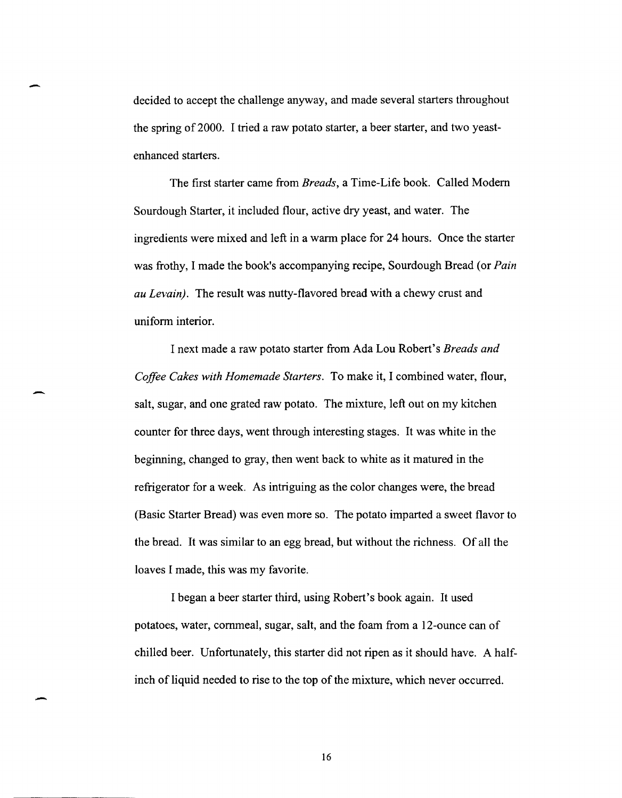decided to accept the challenge anyway, and made several starters throughout the spring of 2000. I tried a raw potato starter, a beer starter, and two yeastenhanced starters.

-

-

The first starter came from *Breads,* a Time-Life book. Called Modem Sourdough Starter, it included flour, active dry yeast, and water. The ingredients were mixed and left in a warm place for 24 hours. Once the starter was frothy, I made the book's accompanying recipe, Sourdough Bread (or *Pain au Levain).* The result was nutty-flavored bread with a chewy crust and uniform interior.

I next made a raw potato starter from Ada Lou Robert's *Breads and Coffee Cakes with Homemade Starters.* To make it, I combined water, flour, salt, sugar, and one grated raw potato. The mixture, left out on my kitchen counter for three days, went through interesting stages. It was white in the beginning, changed to gray, then went back to white as it matured in the refrigerator for a week. As intriguing as the color changes were, the bread (Basic Starter Bread) was even more so. The potato imparted a sweet flavor to the bread. It was similar to an egg bread, but without the richness. Of all the loaves I made, this was my favorite.

I began a beer starter third, using Robert's book again. It used potatoes, water, cornmeal, sugar, salt, and the foam from a 12-ounce can of chilled beer. Unfortunately, this starter did not ripen as it should have. A halfinch of liquid needed to rise to the top of the mixture, which never occurred.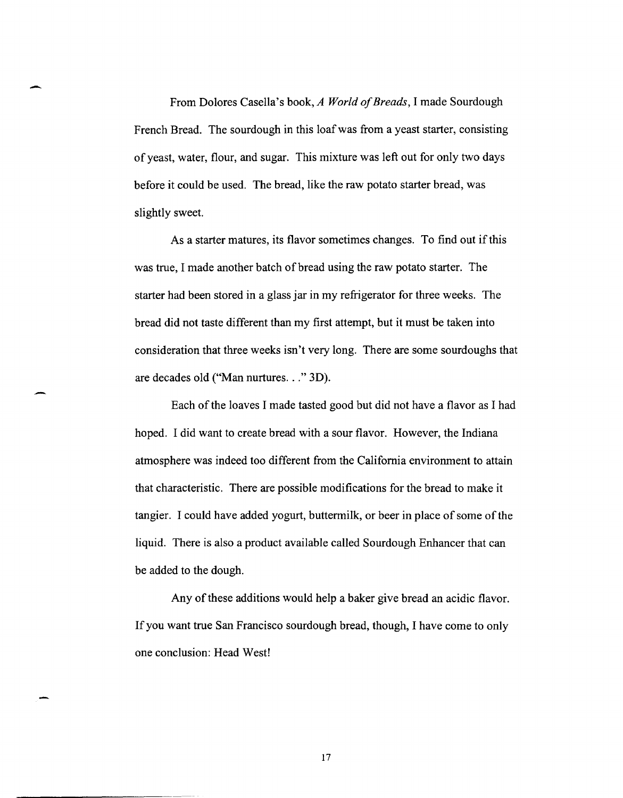From Dolores Casella's book, *A World of Breads,* I made Sourdough French Bread. The sourdough in this loafwas from a yeast starter, consisting of yeast, water, flour, and sugar. This mixture was left out for only two days before it could be used. The bread, like the raw potato starter bread, was slightly sweet.

-

-

As a starter matures, its flavor sometimes changes. To find out if this was true, I made another batch of bread using the raw potato starter. The starter had been stored in a glass jar in my refrigerator for three weeks. The bread did not taste different than my first attempt, but it must be taken into consideration that three weeks isn't very long. There are some sourdoughs that are decades old ("Man nurtures ... " 3D).

Each of the loaves I made tasted good but did not have a flavor as I had hoped. I did want to create bread with a sour flavor. However, the Indiana atmosphere was indeed too different from the California environment to attain that characteristic. There are possible modifications for the bread to make it tangier. I could have added yogurt, buttermilk, or beer in place of some of the liquid. There is also a product available called Sourdough Enhancer that can be added to the dough.

Any of these additions would help a baker give bread an acidic flavor. If you want true San Francisco sourdough bread, though, I have come to only one conclusion: Head West!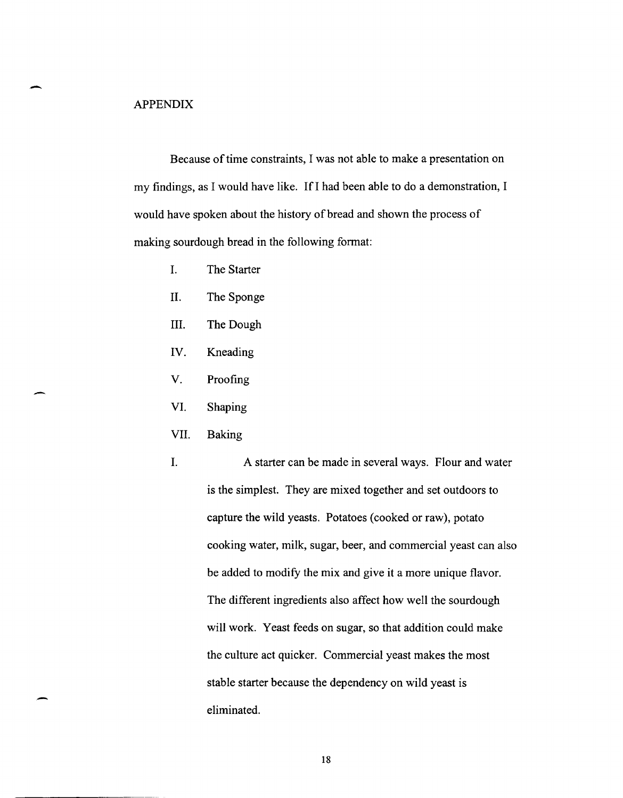### APPENDIX

-

-

Because of time constraints, I was not able to make a presentation on my findings, as I would have like. If I had been able to do a demonstration, I would have spoken about the history of bread and shown the process of making sourdough bread in the following format:

- I. The Starter
- II. The Sponge
- III. The Dough
- IV. Kneading
- V. Proofing
- VI. Shaping
- VII. Baking
- I. A starter can be made in several ways. Flour and water is the simplest. They are mixed together and set outdoors to capture the wild yeasts. Potatoes (cooked or raw), potato cooking water, milk, sugar, beer, and commercial yeast can also be added to modify the mix and give it a more unique flavor. The different ingredients also affect how well the sourdough will work. Yeast feeds on sugar, so that addition could make the culture act quicker. Commercial yeast makes the most stable starter because the dependency on wild yeast is eliminated.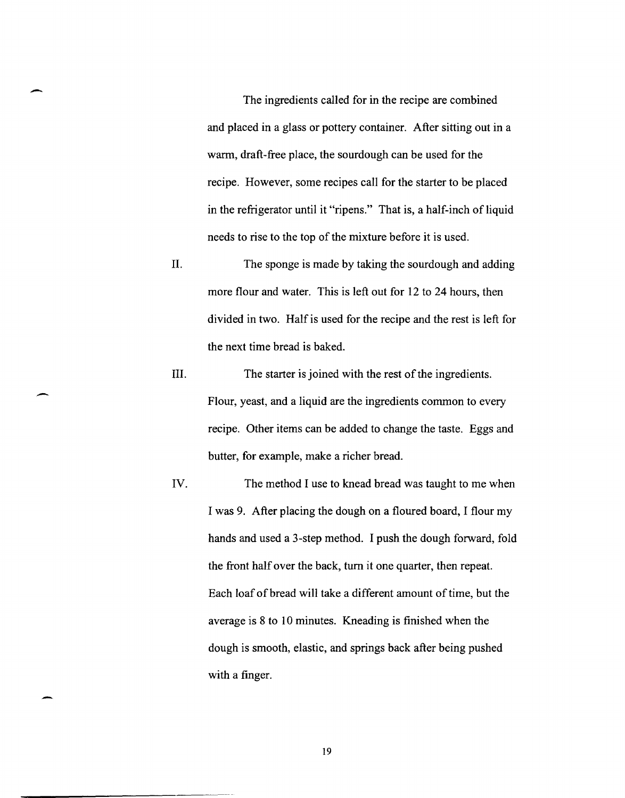The ingredients called for in the recipe are combined and placed in a glass or pottery container. After sitting out in a warm, draft-free place, the sourdough can be used for the recipe. However, some recipes call for the starter to be placed in the refrigerator until it "ripens." That is, a half-inch of liquid needs to rise to the top of the mixture before it is used.

-

-.

-

- II. The sponge is made by taking the sourdough and adding more flour and water. This is left out for 12 to 24 hours, then divided in two. Half is used for the recipe and the rest is left for the next time bread is baked.
- III. The starter is joined with the rest of the ingredients. Flour, yeast, and a liquid are the ingredients common to every recipe. Other items can be added to change the taste. Eggs and butter, for example, make a richer bread.
- IV. The method I use to knead bread was taught to me when I was 9. After placing the dough on a floured board, I flour my hands and used a 3-step method. I push the dough forward, fold the front half over the back, turn it one quarter, then repeat. Each loaf of bread will take a different amount of time, but the average is 8 to 10 minutes. Kneading is finished when the dough is smooth, elastic, and springs back after being pushed with a finger.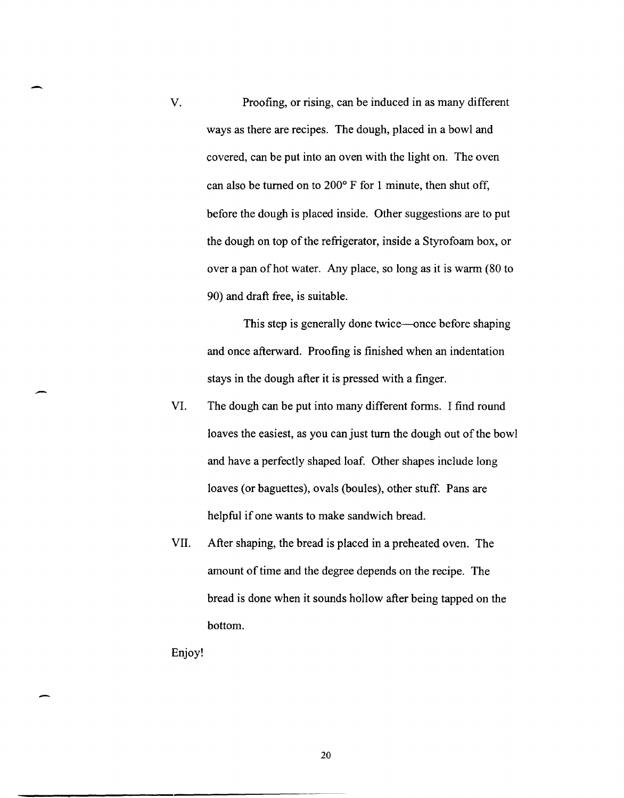V. Proofing, or rising, can be induced in as many different ways as there are recipes. The dough, placed in a bowl and covered, can be put into an oven with the light on. The oven can also be turned on to  $200^{\circ}$  F for 1 minute, then shut off, before the dough is placed inside. Other suggestions are to put the dough on top of the refrigerator, inside a Styrofoam box, or over a pan of hot water. Any place, so long as it is warm (80 to 90) and draft free, is suitable.

> This step is generally done twice—once before shaping and once afterward. Proofing is finished when an indentation stays in the dough after it is pressed with a finger .

- VI. The dough can be put into many different forms. I find round loaves the easiest, as you can just tum the dough out of the bowl and have a perfectly shaped loaf. Other shapes include long loaves (or baguettes), ovals (boules), other stuff. Pans are helpful if one wants to make sandwich bread.
- VII. After shaping, the bread is placed in a preheated oven. The amount of time and the degree depends on the recipe. The bread is done when it sounds hollow after being tapped on the bottom.

Enjoy!

 $\overline{\phantom{0}}$ 

.-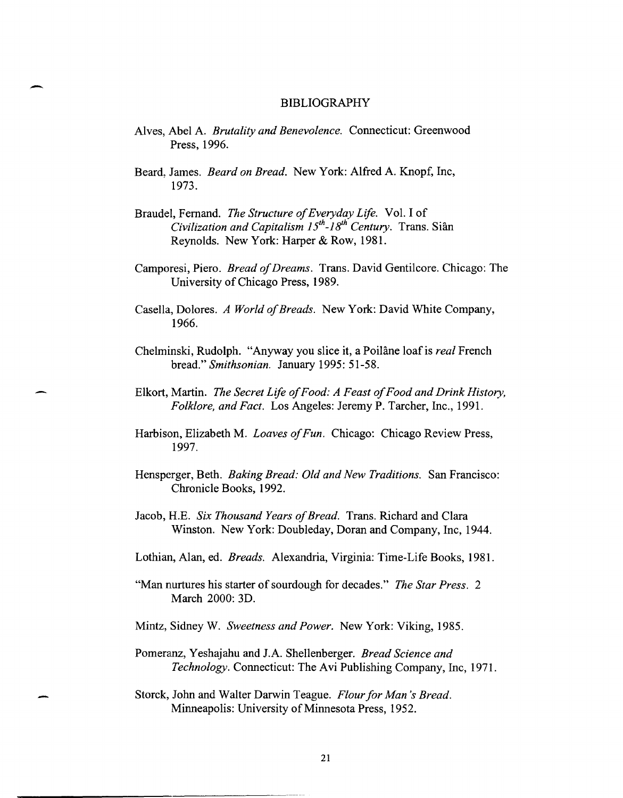# - BIBLIOGRAPHY

- Alves, Abel A. *Brutality and Benevolence.* Connecticut: Greenwood Press, 1996.
- Beard, James. *Beard on Bread.* New York: Alfred A. Knopf, Inc, 1973.
- Braudel, Fernand. *The Structure of Everyday Life.* Vol. Iof *Civilization and Capitalism 15<sup>th</sup>-18<sup>th</sup> Century.* Trans. Siân Reynolds. New York: Harper & Row, 1981.
- Camporesi, Piero. *Bread of Dreams.* Trans. David Gentilcore. Chicago: The University of Chicago Press, 1989.
- Casella, Dolores. *A World of Breads.* New York: David White Company, 1966.
- Chelminski, Rudolph. "Anyway you slice it, a Poilâne loaf is *real* French bread." *Smithsonian.* January 1995: 51-58.
- Elkort, Martin. *The Secret Life of Food: A Feast of Food and Drink History, Folklore, and Fact.* Los Angeles: Jeremy P. Tarcher, Inc., 1991.
- Harbison, Elizabeth M. *Loaves of Fun.* Chicago: Chicago Review Press, 1997.
- Hensperger, Beth. *Baking Bread: Old and New Traditions.* San Francisco: Chronicle Books, 1992.
- Jacob, H.E. *Six Thousand Years of Bread.* Trans. Richard and Clara Winston. New York: Doubleday, Doran and Company, Inc, 1944.
- Lothian, Alan, ed. *Breads.* Alexandria, Virginia: Time-Life Books, 1981.
- "Man nurtures his starter of sourdough for decades." *The Star Press. 2*  March 2000: 3D.
- Mintz, Sidney W. *Sweetness and Power.* New York: Viking, 1985.
- Pomeranz, Yeshajahu and lA. Shellenberger. *Bread Science and Technology.* Connecticut: The Avi Publishing Company, Inc, 1971.
- Storck, John and Walter Darwin Teague. *Flour for Man's Bread.*  Minneapolis: University of Minnesota Press, 1952.